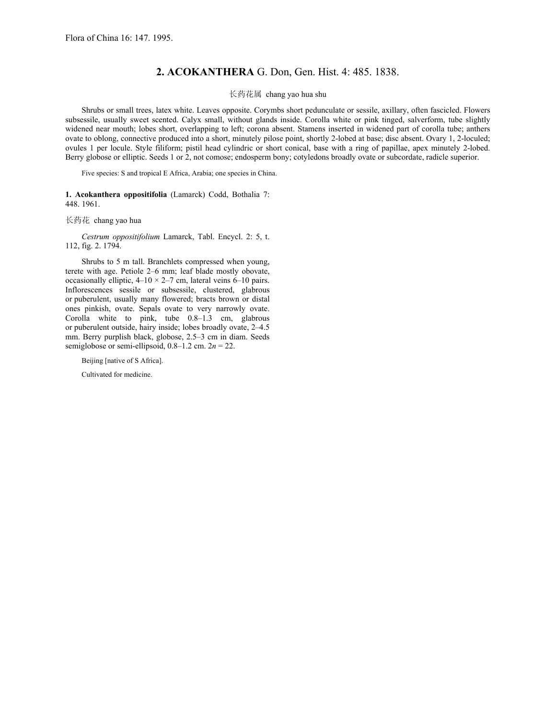## **2. ACOKANTHERA** G. Don, Gen. Hist. 4: 485. 1838.

长药花属 chang yao hua shu

Shrubs or small trees, latex white. Leaves opposite. Corymbs short pedunculate or sessile, axillary, often fascicled. Flowers subsessile, usually sweet scented. Calyx small, without glands inside. Corolla white or pink tinged, salverform, tube slightly widened near mouth; lobes short, overlapping to left; corona absent. Stamens inserted in widened part of corolla tube; anthers ovate to oblong, connective produced into a short, minutely pilose point, shortly 2-lobed at base; disc absent. Ovary 1, 2-loculed; ovules 1 per locule. Style filiform; pistil head cylindric or short conical, base with a ring of papillae, apex minutely 2-lobed. Berry globose or elliptic. Seeds 1 or 2, not comose; endosperm bony; cotyledons broadly ovate or subcordate, radicle superior.

Five species: S and tropical E Africa, Arabia; one species in China.

## **1. Acokanthera oppositifolia** (Lamarck) Codd, Bothalia 7: 448. 1961.

长药花 chang yao hua

*Cestrum oppositifolium* Lamarck, Tabl. Encycl. 2: 5, t. 112, fig. 2. 1794.

Shrubs to 5 m tall. Branchlets compressed when young, terete with age. Petiole 2*–*6 mm; leaf blade mostly obovate, occasionally elliptic, 4*–*10 × 2*–*7 cm, lateral veins 6*–*10 pairs. Inflorescences sessile or subsessile, clustered, glabrous or puberulent, usually many flowered; bracts brown or distal ones pinkish, ovate. Sepals ovate to very narrowly ovate. Corolla white to pink, tube 0.8*–*1.3 cm, glabrous or puberulent outside, hairy inside; lobes broadly ovate, 2*–*4.5 mm. Berry purplish black, globose, 2.5*–*3 cm in diam. Seeds semiglobose or semi-ellipsoid,  $0.8-1.2$  cm.  $2n = 22$ .

Beijing [native of S Africa].

Cultivated for medicine.